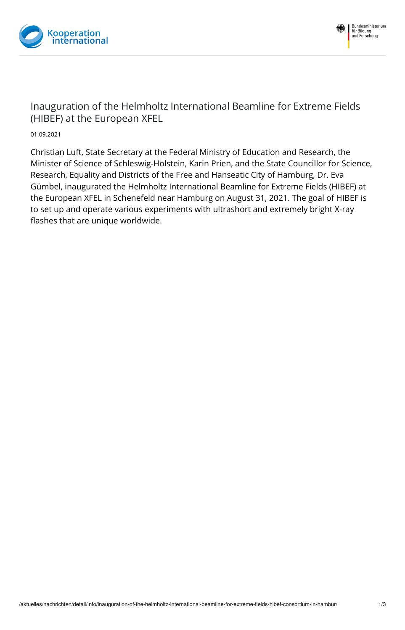



## Inauguration of the Helmholtz International Beamline for Extreme Fields (HIBEF) at the European XFEL

01.09.2021

Christian Luft, State Secretary at the Federal Ministry of Education and Research, the Minister of Science of Schleswig-Holstein, Karin Prien, and the State Councillor for Science, Research, Equality and Districts of the Free and Hanseatic City of Hamburg, Dr. Eva Gümbel, inaugurated the Helmholtz International Beamline for Extreme Fields (HIBEF) at the European XFEL in Schenefeld near Hamburg on August 31, 2021. The goal of HIBEF is to set up and operate various experiments with ultrashort and extremely bright X-ray flashes that are unique worldwide.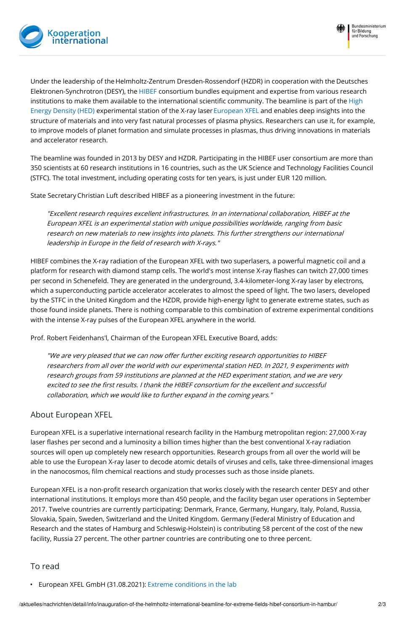



Under the leadership of the Helmholtz-Zentrum Dresden-Rossendorf (HZDR) in cooperation with the Deutsches Elektronen-Synchrotron (DESY), the [HIBEF](https://www.hzdr.de/db/Cms?pOid=50566&pNid=694) consortium bundles equipment and expertise from various research institutions to make them available to the international scientific community. The beamline is part of the High Energy Density (HED) [experimental](https://www.xfel.eu/facility/instruments/hed/index_eng.html) station of the X-ray laser [European](https://www.xfel.eu/index_eng.html) XFEL and enables deep insights into the structure of materials and into very fast natural processes of plasma physics. Researchers can use it, for example, to improve models of planet formation and simulate processes in plasmas, thus driving innovations in materials and accelerator research.

The beamline was founded in 2013 by DESY and HZDR. Participating in the HIBEF user consortium are more than 350 scientists at 60 research institutions in 16 countries, such as the UK Science and Technology Facilities Council (STFC). The total investment, including operating costs for ten years, is just under EUR 120 million.

State Secretary Christian Luft described HIBEF as a pioneering investment in the future:

"Excellent research requires excellent infrastructures. In an international collaboration, HIBEF at the European XFEL is an experimental station with unique possibilities worldwide, ranging from basic research on new materials to new insights into planets. This further strengthens our international leadership in Europe in the field of research with X-rays."

HIBEF combines the X-ray radiation of the European XFEL with two superlasers, a powerful magnetic coil and a platform for research with diamond stamp cells. The world's most intense X-ray flashes can twitch 27,000 times per second in Schenefeld. They are generated in the underground, 3.4-kilometer-long X-ray laser by electrons, which a superconducting particle accelerator accelerates to almost the speed of light. The two lasers, developed by the STFC in the United Kingdom and the HZDR, provide high-energy light to generate extreme states, such as those found inside planets. There is nothing comparable to this combination of extreme experimental conditions with the intense X-ray pulses of the European XFEL anywhere in the world.

Prof. Robert Feidenhans'l, Chairman of the European XFEL Executive Board, adds:

"We are very pleased that we can now offer further exciting research opportunities to HIBEF researchers from all over the world with our experimental station HED. In 2021, 9 experiments with research groups from 59 institutions are planned at the HED experiment station, and we are very excited to see the first results. I thank the HIBEF consortium for the excellent and successful collaboration, which we would like to further expand in the coming years."

## About European XFEL

European XFEL is a superlative international research facility in the Hamburg metropolitan region: 27,000 X-ray laser flashes per second and a luminosity a billion times higher than the best conventional X-ray radiation sources will open up completely new research opportunities. Research groups from all over the world will be able to use the European X-ray laser to decode atomic details of viruses and cells, take three-dimensional images in the nanocosmos, film chemical reactions and study processes such as those inside planets.

European XFEL is a non-profit research organization that works closely with the research center DESY and other international institutions. It employs more than 450 people, and the facility began user operations in September 2017. Twelve countries are currently participating: Denmark, France, Germany, Hungary, Italy, Poland, Russia, Slovakia, Spain, Sweden, Switzerland and the United Kingdom. Germany (Federal Ministry of Education and Research and the states of Hamburg and Schleswig-Holstein) is contributing 58 percent of the cost of the new facility, Russia 27 percent. The other partner countries are contributing one to three percent.

## To read

European XFEL GmbH (31.08.2021): Extreme [conditions](https://www.xfel.eu/news_and_events/news/index_eng.html?openDirectAnchor=1893&two_columns=0) in the lab